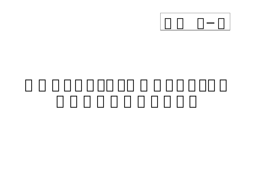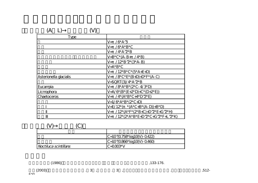|                        | $\left( \mathrm{V}\right)$ |                                                                                                         |
|------------------------|----------------------------|---------------------------------------------------------------------------------------------------------|
| <b>Type</b>            |                            |                                                                                                         |
|                        |                            | $/6^*A^3$<br>$V =$                                                                                      |
|                        |                            | $V = /6 A B C$                                                                                          |
|                        |                            | $/4^*A^2^*B$<br>$V =$                                                                                   |
|                        |                            | $V = B^* C^* (A - B + \sqrt{4^* B})$                                                                    |
|                        |                            | $V = /12*B^2*(3*A-B)$                                                                                   |
|                        |                            | $V = A^*B^*C$                                                                                           |
|                        |                            | $V = /12*B*C*(5*A+E+D)$                                                                                 |
| Asterionella glacialis |                            | $V = /8$ <sup>*</sup> $C$ <sup>*</sup> $E$ <sup>*</sup> $(B+D)+D$ <sup>*</sup> $F$ <sup>*</sup> $(A-C)$ |
|                        |                            | $V = SQRT(3)/4*A^2*B$                                                                                   |
| Eucampia               |                            | $V = \sqrt{8^* A^* B^* (2^* C - 4/3^* D)}$                                                              |
| Licmophora             |                            | V=A/6*(B*(E+2*D)+C*(D+2*E))                                                                             |
| Chaetoceros            |                            | $V = /4*(A*B*C+4*D'2*E)$                                                                                |
|                        |                            | $V=1/6$ <sup>*</sup> $A$ <sup>*</sup> $B$ <sup>*</sup> $(2$ <sup>*</sup> $C+D)$                         |
|                        |                            | $V=E/12^*$ ( $*(A*C+B*(A-D))+B*D$ )                                                                     |
|                        |                            | V= $/12^*(A^*F^*(2^*B+C)+D^2*E+G^2*H)$                                                                  |
|                        |                            | V= /12*(2*A*B*E+D^2*C+G^2*F+L^2*K)                                                                      |

|                              | $ C=10(0.758^* \log 10(V)-0.422) $                |
|------------------------------|---------------------------------------------------|
|                              | $ C=10^{6}$ (0.866 <sup>*</sup> log10(V) - 0.460) |
| <i>Noctiluca scintillans</i> | $C-\Omega$ $\Omega$                               |

 $(1986)$ 

 $(133-176)$ 

and the state of the

 $\begin{array}{ccccccccccccc}\n & 3 & , & & & \end{array}$   $\begin{array}{ccccccccccccc}\n & 3 & , & & \n\end{array}$ 

 $,512-$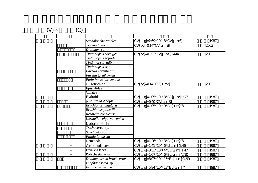| $(\vee)$ | (C)                          |                                                                     |      |
|----------|------------------------------|---------------------------------------------------------------------|------|
|          |                              |                                                                     |      |
|          | Sticholonche zanclea         | $CW\mu$ g = 2.69 $10^{\circ}$ -8 $CV[\mu \text{ m}$ 3               | 1987 |
|          | Tiarina fusus                | $CWpq$ = $0.14*CV$ [µ m3]                                           | 2003 |
|          | Didinium sp.                 |                                                                     |      |
|          | Tintinnopsis corniger        | CWpg = 0.053*LV[μ m3] + 4445                                        | 2003 |
|          | Tintinnopsis kofoidi         |                                                                     |      |
|          | Tintinnopsis radix           |                                                                     |      |
|          | Tintinnopsis spp.            |                                                                     |      |
|          | Favella ehrenbergii          |                                                                     |      |
|          | Favella taraikaensis         |                                                                     |      |
|          | Eutintinnus lususundae       |                                                                     |      |
|          | Oligotrichida                | $CWpq = 0.14*CV[\mu m3]$                                            | 2003 |
|          | Epistylidae                  |                                                                     |      |
|          | Ciliatea                     |                                                                     |      |
|          | Hydroida                     | $CW\mu$ g = 1.05* 10^ 8* BD [ $\mu$ m $\frac{275}{2}$               | 1987 |
|          | pilidium of Anopla           | $CW\mu$ g=0.40 <sup>*</sup> CV[ $\mu$ m3]                           | 1987 |
|          | <b>Brachionus</b> angularis  | $CW[\mu]$ g = 1.05* 10^ - 9* BL [ $\mu$ m $^{\wedge}3$              | 1987 |
|          | <b>Brachionus plicatilis</b> |                                                                     |      |
|          | Keratella cochlearis         |                                                                     |      |
|          | Keratella valga v. tropica   |                                                                     |      |
|          | Notommatidae                 |                                                                     |      |
|          | Trichocerca sp.              |                                                                     |      |
|          | Synchaeta spp.               |                                                                     |      |
|          | Filinia longiseta            |                                                                     |      |
|          | Nematoda                     | $CW\mu$ g = 1.26* 10^ 8* BL $[\mu \text{ m}$ / 3                    | 1987 |
|          | Gastropoda larva             | $CW[\mu]$ g = 1.41 * 10 $\cdot$ 6 $^{\circ}L[\mu]$ m $^{\prime}246$ | 1987 |
|          | Bivalvia larva               | $CW\mu$ g = 353* 10^ 4* SL $\mu$ m ^1.47                            | 1987 |
|          | Polychaeta larva             | $CW\mu$ g = 1.07* 10^ 6* BL $\mu$ m $^2$ 10                         | 1987 |
|          | Diaphanosoma brachyurum      | $CW\mu$ g = 807* 10^ 15* BL [ $\mu$ m $499$                         | 1987 |
|          | Diaphanosoma sp.             |                                                                     |      |
|          | Evadne tergestina            | $CW \mu$ g = 584* 10 <sup>-</sup> 12* BL [ $\mu$ m $\gamma$ 4       | 1987 |